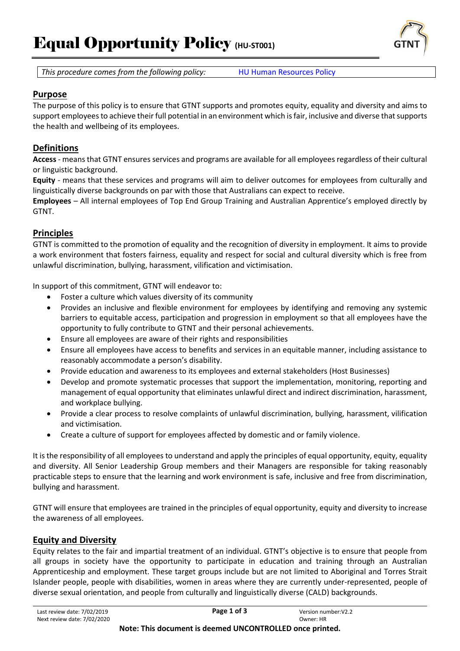# Equal Opportunity Policy (HU-ST001)





#### **Purpose**

The purpose of this policy is to ensure that GTNT supports and promotes equity, equality and diversity and aims to support employees to achieve their full potential in an environment which is fair, inclusive and diverse that supports the health and wellbeing of its employees.

# **Definitions**

**Access** - means that GTNT ensures services and programs are available for all employees regardless of their cultural or linguistic background.

**Equity** - means that these services and programs will aim to deliver outcomes for employees from culturally and linguistically diverse backgrounds on par with those that Australians can expect to receive.

**Employees** – All internal employees of Top End Group Training and Australian Apprentice's employed directly by GTNT.

# **Principles**

GTNT is committed to the promotion of equality and the recognition of diversity in employment. It aims to provide a work environment that fosters fairness, equality and respect for social and cultural diversity which is free from unlawful discrimination, bullying, harassment, vilification and victimisation.

In support of this commitment, GTNT will endeavor to:

- Foster a culture which values diversity of its community
- Provides an inclusive and flexible environment for employees by identifying and removing any systemic barriers to equitable access, participation and progression in employment so that all employees have the opportunity to fully contribute to GTNT and their personal achievements.
- Ensure all employees are aware of their rights and responsibilities
- Ensure all employees have access to benefits and services in an equitable manner, including assistance to reasonably accommodate a person's disability.
- Provide education and awareness to its employees and external stakeholders (Host Businesses)
- Develop and promote systematic processes that support the implementation, monitoring, reporting and management of equal opportunity that eliminates unlawful direct and indirect discrimination, harassment, and workplace bullying.
- Provide a clear process to resolve complaints of unlawful discrimination, bullying, harassment, vilification and victimisation.
- Create a culture of support for employees affected by domestic and or family violence.

It is the responsibility of all employees to understand and apply the principles of equal opportunity, equity, equality and diversity. All Senior Leadership Group members and their Managers are responsible for taking reasonably practicable steps to ensure that the learning and work environment is safe, inclusive and free from discrimination, bullying and harassment.

GTNT will ensure that employees are trained in the principles of equal opportunity, equity and diversity to increase the awareness of all employees.

# **Equity and Diversity**

Equity relates to the fair and impartial treatment of an individual. GTNT's objective is to ensure that people from all groups in society have the opportunity to participate in education and training through an Australian Apprenticeship and employment. These target groups include but are not limited to Aboriginal and Torres Strait Islander people, people with disabilities, women in areas where they are currently under-represented, people of diverse sexual orientation, and people from culturally and linguistically diverse (CALD) backgrounds.

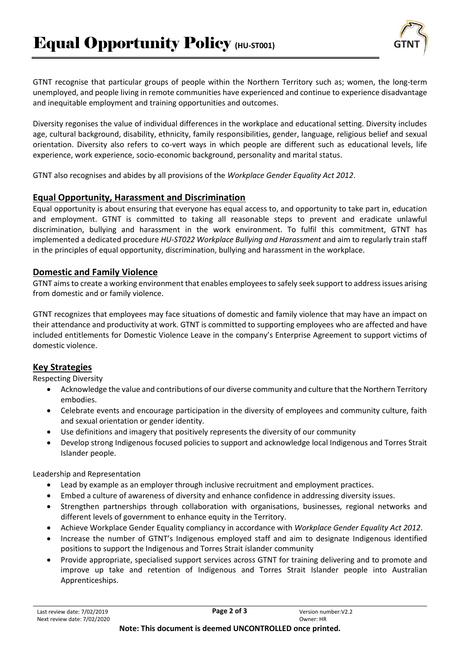

GTNT recognise that particular groups of people within the Northern Territory such as; women, the long-term unemployed, and people living in remote communities have experienced and continue to experience disadvantage and inequitable employment and training opportunities and outcomes.

Diversity regonises the value of individual differences in the workplace and educational setting. Diversity includes age, cultural background, disability, ethnicity, family responsibilities, gender, language, religious belief and sexual orientation. Diversity also refers to co-vert ways in which people are different such as educational levels, life experience, work experience, socio-economic background, personality and marital status.

GTNT also recognises and abides by all provisions of the *Workplace Gender Equality Act 2012*.

#### **Equal Opportunity, Harassment and Discrimination**

Equal opportunity is about ensuring that everyone has equal access to, and opportunity to take part in, education and employment. GTNT is committed to taking all reasonable steps to prevent and eradicate unlawful discrimination, bullying and harassment in the work environment. To fulfil this commitment, GTNT has implemented a dedicated procedure *HU-ST022 Workplace Bullying and Harassment* and aim to regularly train staff in the principles of equal opportunity, discrimination, bullying and harassment in the workplace.

#### **Domestic and Family Violence**

GTNT aims to create a working environment that enables employees to safely seek support to address issues arising from domestic and or family violence.

GTNT recognizes that employees may face situations of domestic and family violence that may have an impact on their attendance and productivity at work. GTNT is committed to supporting employees who are affected and have included entitlements for Domestic Violence Leave in the company's Enterprise Agreement to support victims of domestic violence.

# **Key Strategies**

Respecting Diversity

- Acknowledge the value and contributions of our diverse community and culture that the Northern Territory embodies.
- Celebrate events and encourage participation in the diversity of employees and community culture, faith and sexual orientation or gender identity.
- Use definitions and imagery that positively represents the diversity of our community
- Develop strong Indigenous focused policies to support and acknowledge local Indigenous and Torres Strait Islander people.

Leadership and Representation

- Lead by example as an employer through inclusive recruitment and employment practices.
- Embed a culture of awareness of diversity and enhance confidence in addressing diversity issues.
- Strengthen partnerships through collaboration with organisations, businesses, regional networks and different levels of government to enhance equity in the Territory.
- Achieve Workplace Gender Equality compliancy in accordance with *Workplace Gender Equality Act 2012*.
- Increase the number of GTNT's Indigenous employed staff and aim to designate Indigenous identified positions to support the Indigenous and Torres Strait islander community
- Provide appropriate, specialised support services across GTNT for training delivering and to promote and improve up take and retention of Indigenous and Torres Strait Islander people into Australian Apprenticeships.